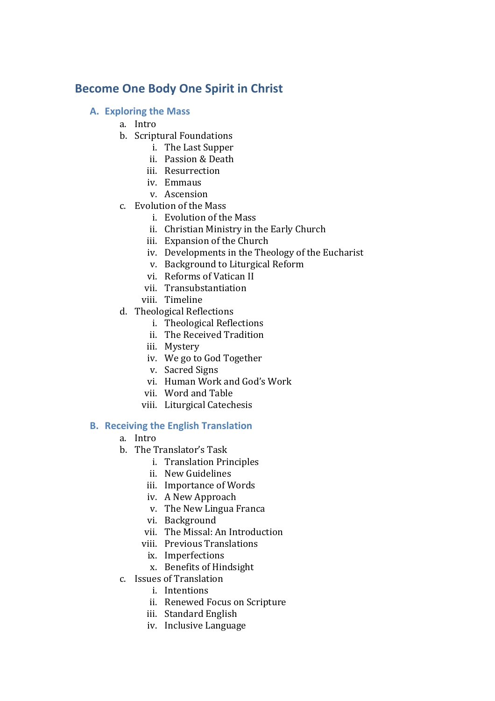# **Become One Body One Spirit in Christ**

- **A. Exploring the Mass** 
	- a. Intro
	- b. Scriptural Foundations
		- i. The Last Supper
		- ii. Passion & Death
		- iii. Resurrection
		- iv. Emmaus
		- v. Ascension
	- c. Evolution of the Mass
		- i. Evolution of the Mass
		- ii. Christian Ministry in the Early Church
		- iii. Expansion of the Church
		- iv. Developments in the Theology of the Eucharist
		- v. Background to Liturgical Reform
		- vi. Reforms of Vatican II
		- vii. Transubstantiation
		- viii. Timeline
	- d. Theological Reflections
		- i. Theological Reflections
		- ii. The Received Tradition
		- iii. Mystery
		- iv. We go to God Together
		- v. Sacred Signs
		- vi. Human Work and God's Work
		- vii. Word and Table
		- viii. Liturgical Catechesis

#### **B.** Receiving the English Translation

- a. Intro
- b. The Translator's Task
	- i. Translation Principles
	- ii. New Guidelines
	- iii. Importance of Words
	- iv. A New Approach
	- v. The New Lingua Franca
	- vi. Background
	- vii. The Missal: An Introduction
	- viii. Previous Translations
		- ix. Imperfections
		- x. Benefits of Hindsight
- c. Issues of Translation
	- i. Intentions
	- ii. Renewed Focus on Scripture
	- iii. Standard English
	- iv. Inclusive Language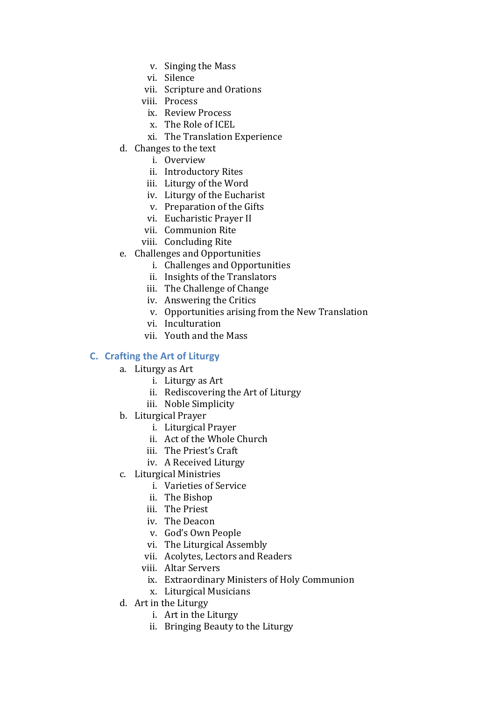- v. Singing the Mass
- vi. Silence
- vii. Scripture and Orations
- viii. Process
	- ix. Review Process
	- x. The Role of ICEL
	- xi. The Translation Experience
- d. Changes to the text
	- i. Overview
	- ii. Introductory Rites
	- iii. Liturgy of the Word
	- iv. Liturgy of the Eucharist
	- v. Preparation of the Gifts
	- vi. Eucharistic Prayer II
	- vii. Communion Rite
	- viii. Concluding Rite
- e. Challenges and Opportunities
	- i. Challenges and Opportunities
	- ii. Insights of the Translators
	- iii. The Challenge of Change
	- iv. Answering the Critics
	- v. Opportunities arising from the New Translation
	- vi. Inculturation
	- vii. Youth and the Mass

#### **C.** Crafting the Art of Liturgy

- a. Liturgy as Art
	- i. Liturgy as Art
	- ii. Rediscovering the Art of Liturgy
	- iii. Noble Simplicity
- b. Liturgical Prayer
	- i. Liturgical Prayer
	- ii. Act of the Whole Church
	- iii. The Priest's Craft
	- iv. A Received Liturgy
- c. Liturgical Ministries
	- i. Varieties of Service
	- ii. The Bishop
	- iii. The Priest
	- iv. The Deacon
	- v. God's Own People
	- vi. The Liturgical Assembly
	- vii. Acolytes, Lectors and Readers
	- viii. Altar Servers
		- ix. Extraordinary Ministers of Holy Communion
		- x. Liturgical Musicians
- d. Art in the Liturgy
	- i. Art in the Liturgy
	- ii. Bringing Beauty to the Liturgy